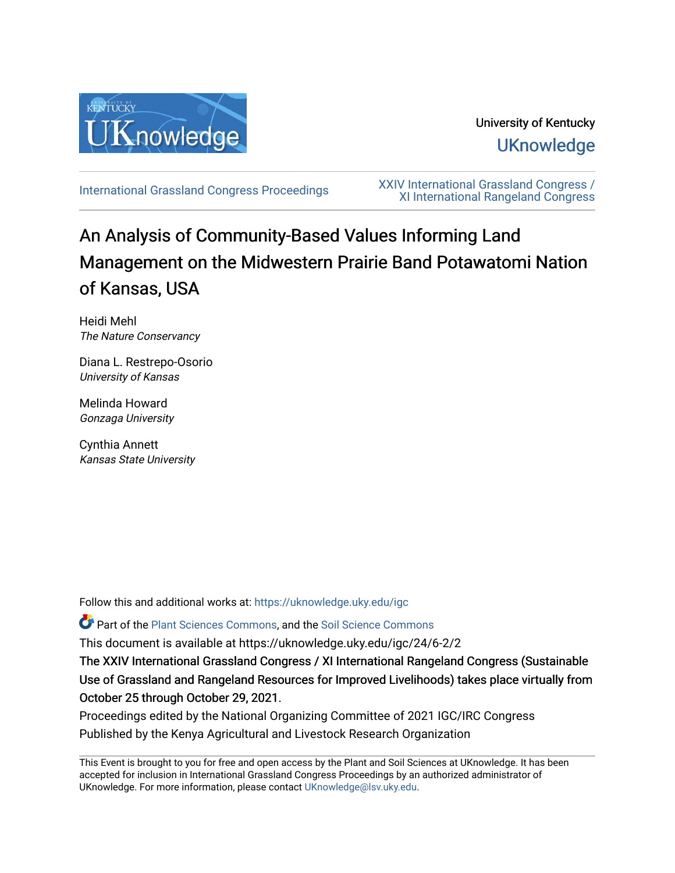

# University of Kentucky **UKnowledge**

[International Grassland Congress Proceedings](https://uknowledge.uky.edu/igc) [XXIV International Grassland Congress /](https://uknowledge.uky.edu/igc/24)  [XI International Rangeland Congress](https://uknowledge.uky.edu/igc/24) 

# An Analysis of Community-Based Values Informing Land Management on the Midwestern Prairie Band Potawatomi Nation of Kansas, USA

Heidi Mehl The Nature Conservancy

Diana L. Restrepo-Osorio University of Kansas

Melinda Howard Gonzaga University

Cynthia Annett Kansas State University

Follow this and additional works at: [https://uknowledge.uky.edu/igc](https://uknowledge.uky.edu/igc?utm_source=uknowledge.uky.edu%2Figc%2F24%2F6-2%2F2&utm_medium=PDF&utm_campaign=PDFCoverPages) 

Part of the [Plant Sciences Commons](http://network.bepress.com/hgg/discipline/102?utm_source=uknowledge.uky.edu%2Figc%2F24%2F6-2%2F2&utm_medium=PDF&utm_campaign=PDFCoverPages), and the [Soil Science Commons](http://network.bepress.com/hgg/discipline/163?utm_source=uknowledge.uky.edu%2Figc%2F24%2F6-2%2F2&utm_medium=PDF&utm_campaign=PDFCoverPages) 

This document is available at https://uknowledge.uky.edu/igc/24/6-2/2

The XXIV International Grassland Congress / XI International Rangeland Congress (Sustainable Use of Grassland and Rangeland Resources for Improved Livelihoods) takes place virtually from October 25 through October 29, 2021.

Proceedings edited by the National Organizing Committee of 2021 IGC/IRC Congress Published by the Kenya Agricultural and Livestock Research Organization

This Event is brought to you for free and open access by the Plant and Soil Sciences at UKnowledge. It has been accepted for inclusion in International Grassland Congress Proceedings by an authorized administrator of UKnowledge. For more information, please contact [UKnowledge@lsv.uky.edu](mailto:UKnowledge@lsv.uky.edu).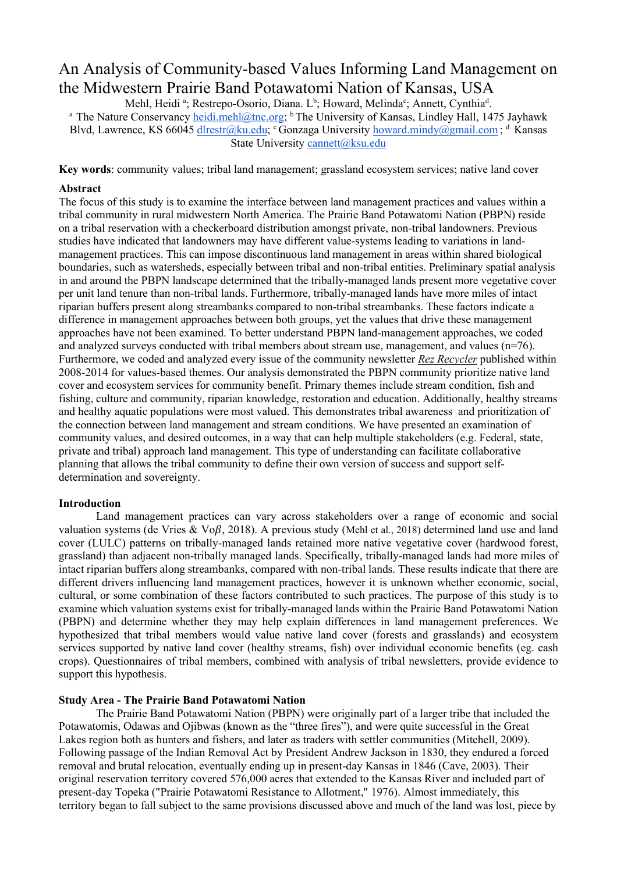# An Analysis of Community-based Values Informing Land Management on the Midwestern Prairie Band Potawatomi Nation of Kansas, USA

Mehl, Heidi ª; Restrepo-Osorio, Diana. L<sup>b</sup>; Howard, Melinda<sup>c</sup>; Annett, Cynthia<sup>d</sup> <sup>a</sup> The Nature Conservancy *heidi.mehl@tnc.org*; <sup>b</sup> The University of Kansas, Lindley Hall, 1475 Jayhawk Blvd, Lawrence, KS 66045 [dlrestr@ku.edu;](mailto:dlrestr@ku.edu) c Gonzaga University [howard.mindy@gmail.com](mailto:howard.mindy@gmail.com); d Kansas State University [cannett@ksu.edu](mailto:cannett@ksu.edu)

**Key words**: community values; tribal land management; grassland ecosystem services; native land cover

#### **Abstract**

The focus of this study is to examine the interface between land management practices and values within a tribal community in rural midwestern North America. The Prairie Band Potawatomi Nation (PBPN) reside on a tribal reservation with a checkerboard distribution amongst private, non-tribal landowners. Previous studies have indicated that landowners may have different value-systems leading to variations in landmanagement practices. This can impose discontinuous land management in areas within shared biological boundaries, such as watersheds, especially between tribal and non-tribal entities. Preliminary spatial analysis in and around the PBPN landscape determined that the tribally-managed lands present more vegetative cover per unit land tenure than non-tribal lands. Furthermore, tribally-managed lands have more miles of intact riparian buffers present along streambanks compared to non-tribal streambanks. These factors indicate a difference in management approaches between both groups, yet the values that drive these management approaches have not been examined. To better understand PBPN land-management approaches, we coded and analyzed surveys conducted with tribal members about stream use, management, and values (n=76). Furthermore, we coded and analyzed every issue of the community newsletter *Rez Recycler* published within 2008-2014 for values-based themes. Our analysis demonstrated the PBPN community prioritize native land cover and ecosystem services for community benefit. Primary themes include stream condition, fish and fishing, culture and community, riparian knowledge, restoration and education. Additionally, healthy streams and healthy aquatic populations were most valued. This demonstrates tribal awareness and prioritization of the connection between land management and stream conditions. We have presented an examination of community values, and desired outcomes, in a way that can help multiple stakeholders (e.g. Federal, state, private and tribal) approach land management. This type of understanding can facilitate collaborative planning that allows the tribal community to define their own version of success and support selfdetermination and sovereignty.

#### **Introduction**

Land management practices can vary across stakeholders over a range of economic and social valuation systems (de Vries & Vo $\beta$ , 2018). A previous study (Mehl et al., 2018) determined land use and land cover (LULC) patterns on tribally-managed lands retained more native vegetative cover (hardwood forest, grassland) than adjacent non-tribally managed lands. Specifically, tribally-managed lands had more miles of intact riparian buffers along streambanks, compared with non-tribal lands. These results indicate that there are different drivers influencing land management practices, however it is unknown whether economic, social, cultural, or some combination of these factors contributed to such practices. The purpose of this study is to examine which valuation systems exist for tribally-managed lands within the Prairie Band Potawatomi Nation (PBPN) and determine whether they may help explain differences in land management preferences. We hypothesized that tribal members would value native land cover (forests and grasslands) and ecosystem services supported by native land cover (healthy streams, fish) over individual economic benefits (eg. cash crops). Questionnaires of tribal members, combined with analysis of tribal newsletters, provide evidence to support this hypothesis.

## **Study Area - The Prairie Band Potawatomi Nation**

The Prairie Band Potawatomi Nation (PBPN) were originally part of a larger tribe that included the Potawatomis, Odawas and Ojibwas (known as the "three fires"), and were quite successful in the Great Lakes region both as hunters and fishers, and later as traders with settler communities (Mitchell, 2009). Following passage of the Indian Removal Act by President Andrew Jackson in 1830, they endured a forced removal and brutal relocation, eventually ending up in present-day Kansas in 1846 (Cave, 2003). Their original reservation territory covered 576,000 acres that extended to the Kansas River and included part of present-day Topeka ("Prairie Potawatomi Resistance to Allotment," 1976). Almost immediately, this territory began to fall subject to the same provisions discussed above and much of the land was lost, piece by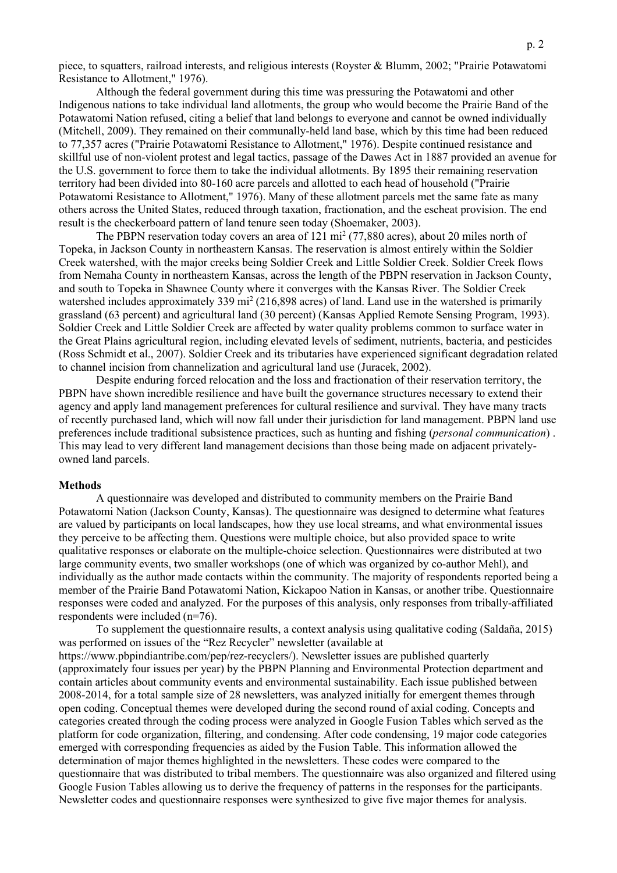piece, to squatters, railroad interests, and religious interests (Royster & Blumm, 2002; "Prairie Potawatomi Resistance to Allotment," 1976).

Although the federal government during this time was pressuring the Potawatomi and other Indigenous nations to take individual land allotments, the group who would become the Prairie Band of the Potawatomi Nation refused, citing a belief that land belongs to everyone and cannot be owned individually (Mitchell, 2009). They remained on their communally-held land base, which by this time had been reduced to 77,357 acres ("Prairie Potawatomi Resistance to Allotment," 1976). Despite continued resistance and skillful use of non-violent protest and legal tactics, passage of the Dawes Act in 1887 provided an avenue for the U.S. government to force them to take the individual allotments. By 1895 their remaining reservation territory had been divided into 80-160 acre parcels and allotted to each head of household ("Prairie Potawatomi Resistance to Allotment," 1976). Many of these allotment parcels met the same fate as many others across the United States, reduced through taxation, fractionation, and the escheat provision. The end result is the checkerboard pattern of land tenure seen today (Shoemaker, 2003).

The PBPN reservation today covers an area of 121 mi2 (77,880 acres), about 20 miles north of Topeka, in Jackson County in northeastern Kansas. The reservation is almost entirely within the Soldier Creek watershed, with the major creeks being Soldier Creek and Little Soldier Creek. Soldier Creek flows from Nemaha County in northeastern Kansas, across the length of the PBPN reservation in Jackson County, and south to Topeka in Shawnee County where it converges with the Kansas River. The Soldier Creek watershed includes approximately 339 mi<sup>2</sup> (216,898 acres) of land. Land use in the watershed is primarily grassland (63 percent) and agricultural land (30 percent) (Kansas Applied Remote Sensing Program, 1993). Soldier Creek and Little Soldier Creek are affected by water quality problems common to surface water in the Great Plains agricultural region, including elevated levels of sediment, nutrients, bacteria, and pesticides (Ross Schmidt et al., 2007). Soldier Creek and its tributaries have experienced significant degradation related to channel incision from channelization and agricultural land use (Juracek, 2002).

Despite enduring forced relocation and the loss and fractionation of their reservation territory, the PBPN have shown incredible resilience and have built the governance structures necessary to extend their agency and apply land management preferences for cultural resilience and survival. They have many tracts of recently purchased land, which will now fall under their jurisdiction for land management. PBPN land use preferences include traditional subsistence practices, such as hunting and fishing (*personal communication*) . This may lead to very different land management decisions than those being made on adjacent privatelyowned land parcels.

#### **Methods**

A questionnaire was developed and distributed to community members on the Prairie Band Potawatomi Nation (Jackson County, Kansas). The questionnaire was designed to determine what features are valued by participants on local landscapes, how they use local streams, and what environmental issues they perceive to be affecting them. Questions were multiple choice, but also provided space to write qualitative responses or elaborate on the multiple-choice selection. Questionnaires were distributed at two large community events, two smaller workshops (one of which was organized by co-author Mehl), and individually as the author made contacts within the community. The majority of respondents reported being a member of the Prairie Band Potawatomi Nation, Kickapoo Nation in Kansas, or another tribe. Questionnaire responses were coded and analyzed. For the purposes of this analysis, only responses from tribally-affiliated respondents were included (n=76).

To supplement the questionnaire results, a context analysis using qualitative coding (Saldaña, 2015) was performed on issues of the "Rez Recycler" newsletter (available at https://www.pbpindiantribe.com/pep/rez-recyclers/). Newsletter issues are published quarterly (approximately four issues per year) by the PBPN Planning and Environmental Protection department and contain articles about community events and environmental sustainability. Each issue published between 2008-2014, for a total sample size of 28 newsletters, was analyzed initially for emergent themes through open coding. Conceptual themes were developed during the second round of axial coding. Concepts and categories created through the coding process were analyzed in Google Fusion Tables which served as the platform for code organization, filtering, and condensing. After code condensing, 19 major code categories emerged with corresponding frequencies as aided by the Fusion Table. This information allowed the determination of major themes highlighted in the newsletters. These codes were compared to the questionnaire that was distributed to tribal members. The questionnaire was also organized and filtered using Google Fusion Tables allowing us to derive the frequency of patterns in the responses for the participants. Newsletter codes and questionnaire responses were synthesized to give five major themes for analysis.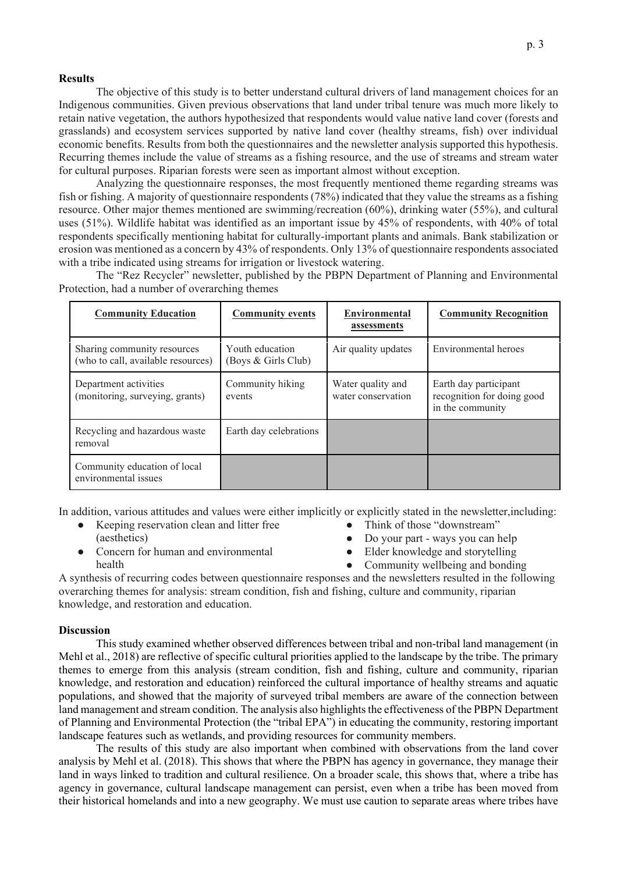#### **Results**

The objective of this study is to better understand cultural drivers of land management choices for an Indigenous communities. Given previous observations that land under tribal tenure was much more likely to retain native vegetation, the authors hypothesized that respondents would value native land cover (forests and grasslands) and ecosystem services supported by native land cover (healthy streams, fish) over individual economic benefits. Results from both the questionnaires and the newsletter analysis supported this hypothesis. Recurring themes include the value of streams as a fishing resource, and the use of streams and stream water for cultural purposes. Riparian forests were seen as important almost without exception.

Analyzing the questionnaire responses, the most frequently mentioned theme regarding streams was fish or fishing. A majority of questionnaire respondents (78%) indicated that they value the streams as a fishing resource. Other major themes mentioned are swimming/recreation (60%), drinking water (55%), and cultural uses (51%). Wildlife habitat was identified as an important issue by 45% of respondents, with 40% of total respondents specifically mentioning habitat for culturally-important plants and animals. Bank stabilization or erosion was mentioned as a concern by 43% of respondents. Only 13% of questionnaire respondents associated with a tribe indicated using streams for irrigation or livestock watering.

| <b>Community Education</b>                                        | <b>Community events</b>                | <b>Environmental</b><br>assessments     | <b>Community Recognition</b>                                            |
|-------------------------------------------------------------------|----------------------------------------|-----------------------------------------|-------------------------------------------------------------------------|
| Sharing community resources<br>(who to call, available resources) | Youth education<br>(Boys & Girls Club) | Air quality updates                     | Environmental heroes                                                    |
| Department activities<br>(monitoring, surveying, grants)          | Community hiking<br>events             | Water quality and<br>water conservation | Earth day participant<br>recognition for doing good<br>in the community |
| Recycling and hazardous waste<br>removal                          | Earth day celebrations                 |                                         |                                                                         |
| Community education of local<br>environmental issues              |                                        |                                         |                                                                         |

The "Rez Recycler" newsletter, published by the PBPN Department of Planning and Environmental Protection, had a number of overarching themes

In addition, various attitudes and values were either implicitly or explicitly stated in the newsletter,including:

- Keeping reservation clean and litter free (aesthetics)
- Concern for human and environmental health
- Think of those "downstream"
- Do your part ways you can help
- Elder knowledge and storytelling
- Community wellbeing and bonding

A synthesis of recurring codes between questionnaire responses and the newsletters resulted in the following overarching themes for analysis: stream condition, fish and fishing, culture and community, riparian knowledge, and restoration and education.

# **Discussion**

This study examined whether observed differences between tribal and non-tribal land management (in Mehl et al., 2018) are reflective of specific cultural priorities applied to the landscape by the tribe. The primary themes to emerge from this analysis (stream condition, fish and fishing, culture and community, riparian knowledge, and restoration and education) reinforced the cultural importance of healthy streams and aquatic populations, and showed that the majority of surveyed tribal members are aware of the connection between land management and stream condition. The analysis also highlights the effectiveness of the PBPN Department of Planning and Environmental Protection (the "tribal EPA") in educating the community, restoring important landscape features such as wetlands, and providing resources for community members.

The results of this study are also important when combined with observations from the land cover analysis by Mehl et al. (2018). This shows that where the PBPN has agency in governance, they manage their land in ways linked to tradition and cultural resilience. On a broader scale, this shows that, where a tribe has agency in governance, cultural landscape management can persist, even when a tribe has been moved from their historical homelands and into a new geography. We must use caution to separate areas where tribes have